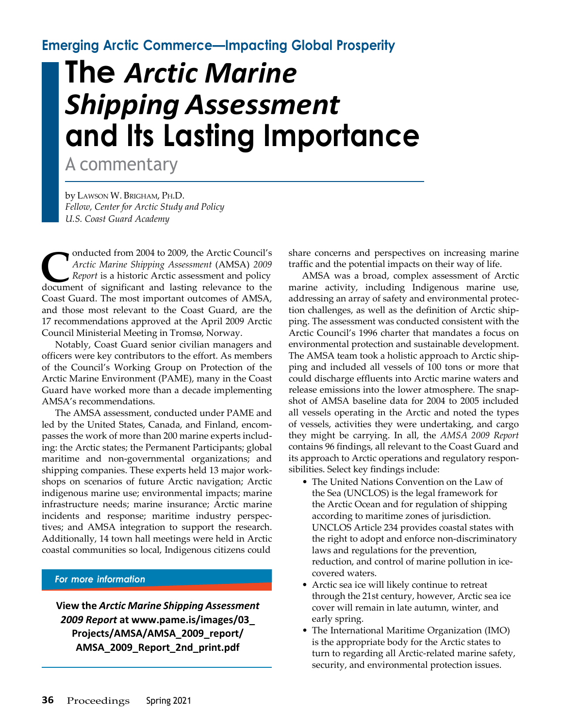**Emerging Arctic Commerce—Impacting Global Prosperity**

## **The** *Arctic Marine Shipping Assessment* **and Its Lasting Importance**

A commentary

by LAWSON W. BRIGHAM, PH.D. *Fellow, Center for Arctic Study and Policy U.S. Coast Guard Academy*

**C** *C Conducted from 2004 to 2009, the Arctic Council's<br>
<i>Arctic Marine Shipping Assessment* (AMSA) 2009<br> *Report* is a historic Arctic assessment and policy<br>
document of significant and lasting relevance to the onducted from 2004 to 2009, the Arctic Council's *Arctic Marine Shipping Assessment* (AMSA) *2009 Report* is a historic Arctic assessment and policy Coast Guard. The most important outcomes of AMSA, and those most relevant to the Coast Guard, are the 17 recommendations approved at the April 2009 Arctic Council Ministerial Meeting in Tromsø, Norway.

Notably, Coast Guard senior civilian managers and officers were key contributors to the effort. As members of the Council's Working Group on Protection of the Arctic Marine Environment (PAME), many in the Coast Guard have worked more than a decade implementing AMSA's recommendations.

The AMSA assessment, conducted under PAME and led by the United States, Canada, and Finland, encompasses the work of more than 200 marine experts including: the Arctic states; the Permanent Participants; global maritime and non-governmental organizations; and shipping companies. These experts held 13 major workshops on scenarios of future Arctic navigation; Arctic indigenous marine use; environmental impacts; marine infrastructure needs; marine insurance; Arctic marine incidents and response; maritime industry perspectives; and AMSA integration to support the research. Additionally, 14 town hall meetings were held in Arctic coastal communities so local, Indigenous citizens could

## *For more information*

**View the** *Arctic Marine Shipping Assessment 2009 Report* **at [www.pame.is/images/03\\_](http://www.pame.is/images/03) Projects/AMSA/AMSA\_2009\_report/ AMSA\_2009\_Report\_2nd\_print.pdf**

share concerns and perspectives on increasing marine traffic and the potential impacts on their way of life.

AMSA was a broad, complex assessment of Arctic marine activity, including Indigenous marine use, addressing an array of safety and environmental protection challenges, as well as the definition of Arctic shipping. The assessment was conducted consistent with the Arctic Council's 1996 charter that mandates a focus on environmental protection and sustainable development. The AMSA team took a holistic approach to Arctic shipping and included all vessels of 100 tons or more that could discharge effluents into Arctic marine waters and release emissions into the lower atmosphere. The snapshot of AMSA baseline data for 2004 to 2005 included all vessels operating in the Arctic and noted the types of vessels, activities they were undertaking, and cargo they might be carrying. In all, the *AMSA 2009 Report* contains 96 findings, all relevant to the Coast Guard and its approach to Arctic operations and regulatory responsibilities. Select key findings include:

- The United Nations Convention on the Law of the Sea (UNCLOS) is the legal framework for the Arctic Ocean and for regulation of shipping according to maritime zones of jurisdiction. UNCLOS Article 234 provides coastal states with the right to adopt and enforce non-discriminatory laws and regulations for the prevention, reduction, and control of marine pollution in icecovered waters.
- Arctic sea ice will likely continue to retreat through the 21st century, however, Arctic sea ice cover will remain in late autumn, winter, and early spring.
- The International Maritime Organization (IMO) is the appropriate body for the Arctic states to turn to regarding all Arctic-related marine safety, security, and environmental protection issues.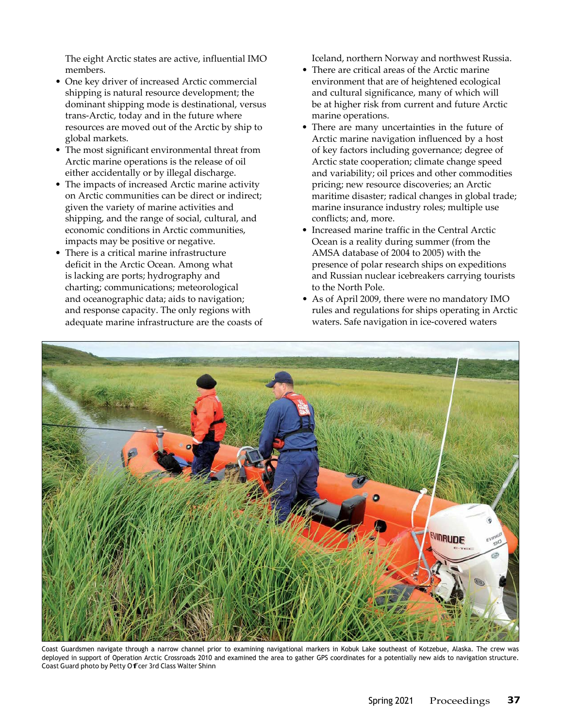The eight Arctic states are active, influential IMO members.

- One key driver of increased Arctic commercial shipping is natural resource development; the dominant shipping mode is destinational, versus trans-Arctic, today and in the future where resources are moved out of the Arctic by ship to global markets.
- The most significant environmental threat from Arctic marine operations is the release of oil either accidentally or by illegal discharge.
- The impacts of increased Arctic marine activity on Arctic communities can be direct or indirect; given the variety of marine activities and shipping, and the range of social, cultural, and economic conditions in Arctic communities, impacts may be positive or negative.
- There is a critical marine infrastructure deficit in the Arctic Ocean. Among what is lacking are ports; hydrography and charting; communications; meteorological and oceanographic data; aids to navigation; and response capacity. The only regions with adequate marine infrastructure are the coasts of

Iceland, northern Norway and northwest Russia.

- There are critical areas of the Arctic marine environment that are of heightened ecological and cultural significance, many of which will be at higher risk from current and future Arctic marine operations.
- There are many uncertainties in the future of Arctic marine navigation influenced by a host of key factors including governance; degree of Arctic state cooperation; climate change speed and variability; oil prices and other commodities pricing; new resource discoveries; an Arctic maritime disaster; radical changes in global trade; marine insurance industry roles; multiple use conflicts; and, more.
- Increased marine traffic in the Central Arctic Ocean is a reality during summer (from the AMSA database of 2004 to 2005) with the presence of polar research ships on expeditions and Russian nuclear icebreakers carrying tourists to the North Pole.
- As of April 2009, there were no mandatory IMO rules and regulations for ships operating in Arctic waters. Safe navigation in ice-covered waters



Coast Guardsmen navigate through a narrow channel prior to examining navigational markers in Kobuk Lake southeast of Kotzebue, Alaska. The crew was deployed in support of Operation Arctic Crossroads 2010 and examined the area to gather GPS coordinates for a potentially new aids to navigation structure. Coast Guard photo by Petty Offcer 3rd Class Walter Shinn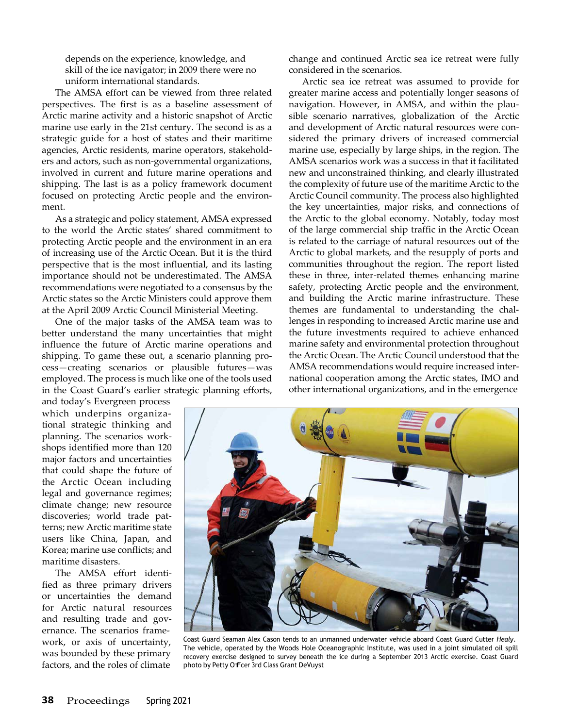depends on the experience, knowledge, and skill of the ice navigator; in 2009 there were no uniform international standards.

The AMSA effort can be viewed from three related perspectives. The first is as a baseline assessment of Arctic marine activity and a historic snapshot of Arctic marine use early in the 21st century. The second is as a strategic guide for a host of states and their maritime agencies, Arctic residents, marine operators, stakeholders and actors, such as non-governmental organizations, involved in current and future marine operations and shipping. The last is as a policy framework document focused on protecting Arctic people and the environment.

As a strategic and policy statement, AMSA expressed to the world the Arctic states' shared commitment to protecting Arctic people and the environment in an era of increasing use of the Arctic Ocean. But it is the third perspective that is the most influential, and its lasting importance should not be underestimated. The AMSA recommendations were negotiated to a consensus by the Arctic states so the Arctic Ministers could approve them at the April 2009 Arctic Council Ministerial Meeting.

One of the major tasks of the AMSA team was to better understand the many uncertainties that might influence the future of Arctic marine operations and shipping. To game these out, a scenario planning process—creating scenarios or plausible futures—was employed. The process is much like one of the tools used in the Coast Guard's earlier strategic planning efforts,

and today's Evergreen process which underpins organizational strategic thinking and planning. The scenarios workshops identified more than 120 major factors and uncertainties that could shape the future of the Arctic Ocean including legal and governance regimes; climate change; new resource discoveries; world trade patterns; new Arctic maritime state users like China, Japan, and Korea; marine use conflicts; and maritime disasters.

The AMSA effort identified as three primary drivers or uncertainties the demand for Arctic natural resources and resulting trade and governance. The scenarios framework, or axis of uncertainty, was bounded by these primary factors, and the roles of climate

change and continued Arctic sea ice retreat were fully considered in the scenarios.

Arctic sea ice retreat was assumed to provide for greater marine access and potentially longer seasons of navigation. However, in AMSA, and within the plausible scenario narratives, globalization of the Arctic and development of Arctic natural resources were considered the primary drivers of increased commercial marine use, especially by large ships, in the region. The AMSA scenarios work was a success in that it facilitated new and unconstrained thinking, and clearly illustrated the complexity of future use of the maritime Arctic to the Arctic Council community. The process also highlighted the key uncertainties, major risks, and connections of the Arctic to the global economy. Notably, today most of the large commercial ship traffic in the Arctic Ocean is related to the carriage of natural resources out of the Arctic to global markets, and the resupply of ports and communities throughout the region. The report listed these in three, inter-related themes enhancing marine safety, protecting Arctic people and the environment, and building the Arctic marine infrastructure. These themes are fundamental to understanding the challenges in responding to increased Arctic marine use and the future investments required to achieve enhanced marine safety and environmental protection throughout the Arctic Ocean. The Arctic Council understood that the AMSA recommendations would require increased international cooperation among the Arctic states, IMO and other international organizations, and in the emergence



Coast Guard Seaman Alex Cason tends to an unmanned underwater vehicle aboard Coast Guard Cutter *Healy*. The vehicle, operated by the Woods Hole Oceanographic Institute, was used in a joint simulated oil spill recovery exercise designed to survey beneath the ice during a September 2013 Arctic exercise. Coast Guard photo by Petty Offcer 3rd Class Grant DeVuyst